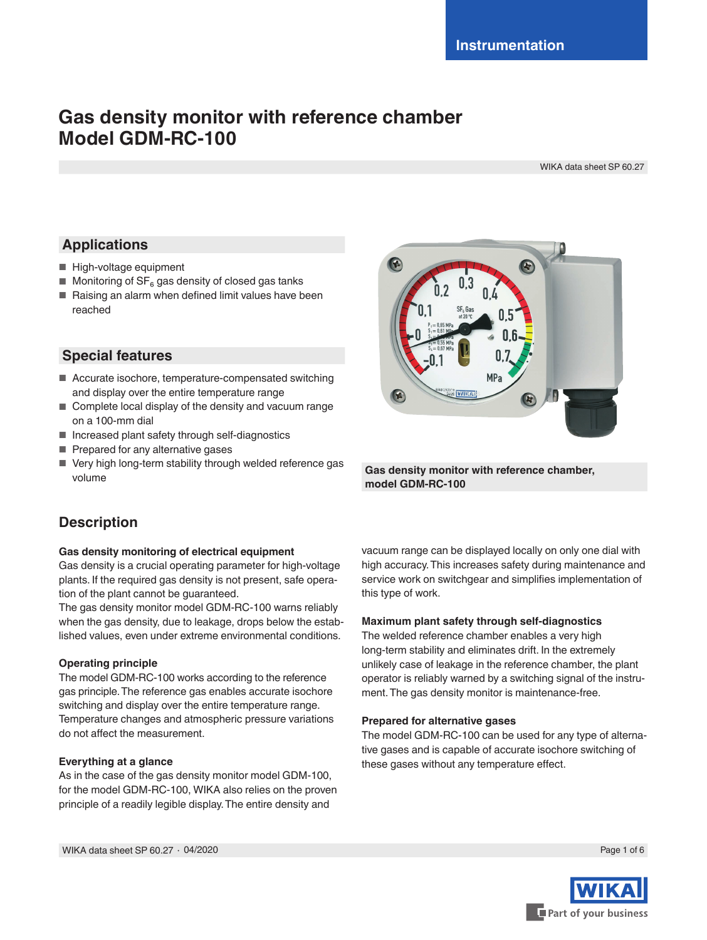# **Gas density monitor with reference chamber Model GDM-RC-100**

WIKA data sheet SP 60.27

# **Applications**

- High-voltage equipment
- $\blacksquare$  Monitoring of SF<sub>6</sub> gas density of closed gas tanks
- Raising an alarm when defined limit values have been reached

## **Special features**

- Accurate isochore, temperature-compensated switching and display over the entire temperature range
- Complete local display of the density and vacuum range on a 100-mm dial
- Increased plant safety through self-diagnostics
- Prepared for any alternative gases
- Very high long-term stability through welded reference gas volume



**Gas density monitor with reference chamber, model GDM-RC-100**

# **Description**

## **Gas density monitoring of electrical equipment**

Gas density is a crucial operating parameter for high-voltage plants. If the required gas density is not present, safe operation of the plant cannot be guaranteed.

The gas density monitor model GDM-RC-100 warns reliably when the gas density, due to leakage, drops below the established values, even under extreme environmental conditions.

## **Operating principle**

The model GDM-RC-100 works according to the reference gas principle. The reference gas enables accurate isochore switching and display over the entire temperature range. Temperature changes and atmospheric pressure variations do not affect the measurement.

## **Everything at a glance**

As in the case of the gas density monitor model GDM-100, for the model GDM-RC-100, WIKA also relies on the proven principle of a readily legible display. The entire density and

vacuum range can be displayed locally on only one dial with high accuracy. This increases safety during maintenance and service work on switchgear and simplifies implementation of this type of work.

## **Maximum plant safety through self-diagnostics**

The welded reference chamber enables a very high long-term stability and eliminates drift. In the extremely unlikely case of leakage in the reference chamber, the plant operator is reliably warned by a switching signal of the instrument. The gas density monitor is maintenance-free.

#### **Prepared for alternative gases**

The model GDM-RC-100 can be used for any type of alternative gases and is capable of accurate isochore switching of these gases without any temperature effect.

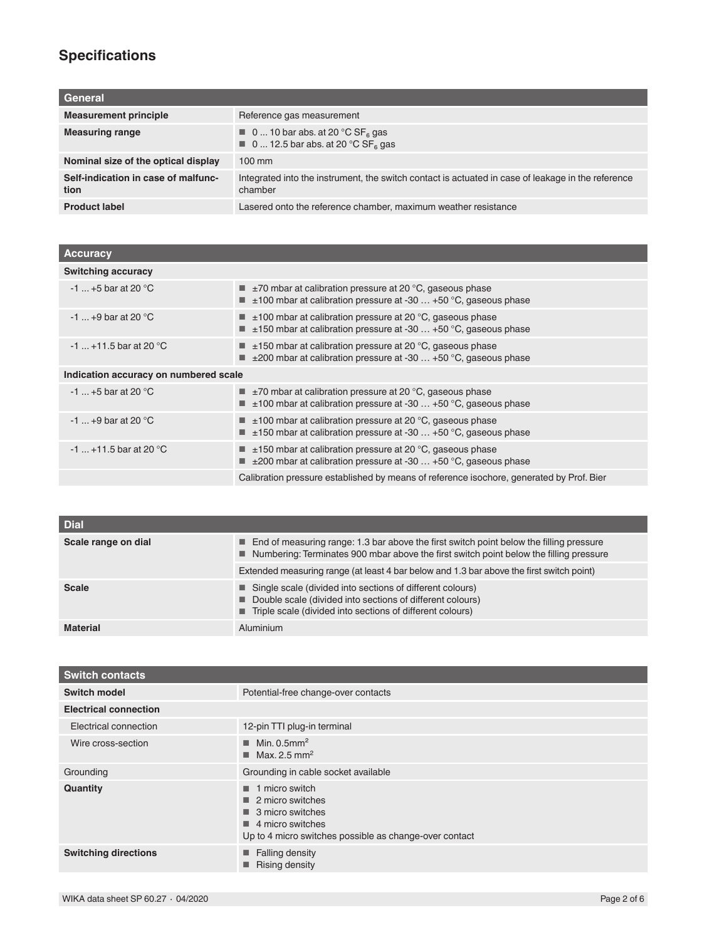# **Specifications**

| General                                     |                                                                                                                            |
|---------------------------------------------|----------------------------------------------------------------------------------------------------------------------------|
| <b>Measurement principle</b>                | Reference gas measurement                                                                                                  |
| <b>Measuring range</b>                      | $\blacksquare$ 0  10 bar abs. at 20 °C SF <sub>6</sub> gas<br>$\blacksquare$ 0  12.5 bar abs. at 20 °C SF <sub>6</sub> gas |
| Nominal size of the optical display         | $100 \text{ mm}$                                                                                                           |
| Self-indication in case of malfunc-<br>tion | Integrated into the instrument, the switch contact is actuated in case of leakage in the reference<br>chamber              |
| <b>Product label</b>                        | Lasered onto the reference chamber, maximum weather resistance                                                             |

| <b>Accuracy</b>                       |                                                                                                                                                                      |  |
|---------------------------------------|----------------------------------------------------------------------------------------------------------------------------------------------------------------------|--|
| <b>Switching accuracy</b>             |                                                                                                                                                                      |  |
| $-1$ +5 bar at 20 °C                  | $\blacksquare$ $\pm$ 70 mbar at calibration pressure at 20 °C, gaseous phase<br>$\blacksquare$ $\pm$ 100 mbar at calibration pressure at -30  +50 °C, gaseous phase  |  |
| $-1$ +9 bar at 20 °C                  | $\blacksquare$ $\pm$ 100 mbar at calibration pressure at 20 °C, gaseous phase<br>$\blacksquare$ ±150 mbar at calibration pressure at -30  +50 °C, gaseous phase      |  |
| $-1$ +11.5 bar at 20 °C               | $\pm$ 150 mbar at calibration pressure at 20 °C, gaseous phase<br>$\blacksquare$ $\pm$ 200 mbar at calibration pressure at -30  +50 °C, gaseous phase                |  |
| Indication accuracy on numbered scale |                                                                                                                                                                      |  |
| $-1$ +5 bar at 20 °C                  | $\blacksquare$ ±70 mbar at calibration pressure at 20 °C, gaseous phase<br>$\pm$ 100 mbar at calibration pressure at -30 $\dots$ +50 °C, gaseous phase               |  |
| $-1$ +9 bar at 20 °C                  | $\blacksquare$ $\pm$ 100 mbar at calibration pressure at 20 °C, gaseous phase<br>$\blacksquare$ $\pm$ 150 mbar at calibration pressure at -30  +50 °C, gaseous phase |  |
| $-1$ +11.5 bar at 20 °C               | $\pm$ 150 mbar at calibration pressure at 20 °C, gaseous phase<br>$\blacksquare$ $\pm$ 200 mbar at calibration pressure at -30  +50 °C, gaseous phase                |  |
|                                       | Calibration pressure established by means of reference isochore, generated by Prof. Bier                                                                             |  |

| <b>Dial</b>         |                                                                                                                                                                                           |
|---------------------|-------------------------------------------------------------------------------------------------------------------------------------------------------------------------------------------|
| Scale range on dial | ■ End of measuring range: 1.3 bar above the first switch point below the filling pressure<br>Numbering: Terminates 900 mbar above the first switch point below the filling pressure       |
|                     | Extended measuring range (at least 4 bar below and 1.3 bar above the first switch point)                                                                                                  |
| <b>Scale</b>        | ■ Single scale (divided into sections of different colours)<br>■ Double scale (divided into sections of different colours)<br>■ Triple scale (divided into sections of different colours) |
| <b>Material</b>     | Aluminium                                                                                                                                                                                 |

| <b>Switch contacts</b>       |                                                                                                                                                                                        |
|------------------------------|----------------------------------------------------------------------------------------------------------------------------------------------------------------------------------------|
| Switch model                 | Potential-free change-over contacts                                                                                                                                                    |
| <b>Electrical connection</b> |                                                                                                                                                                                        |
| Electrical connection        | 12-pin TTI plug-in terminal                                                                                                                                                            |
| Wire cross-section           | Min. 0.5mm <sup>2</sup><br>Max. 2.5 mm <sup>2</sup>                                                                                                                                    |
| Grounding                    | Grounding in cable socket available                                                                                                                                                    |
| <b>Quantity</b>              | 1 micro switch<br>٠<br>$\blacksquare$ 2 micro switches<br>$\blacksquare$ 3 micro switches<br>$\blacksquare$ 4 micro switches<br>Up to 4 micro switches possible as change-over contact |
| <b>Switching directions</b>  | $\blacksquare$ Falling density<br><b>Rising density</b><br>■                                                                                                                           |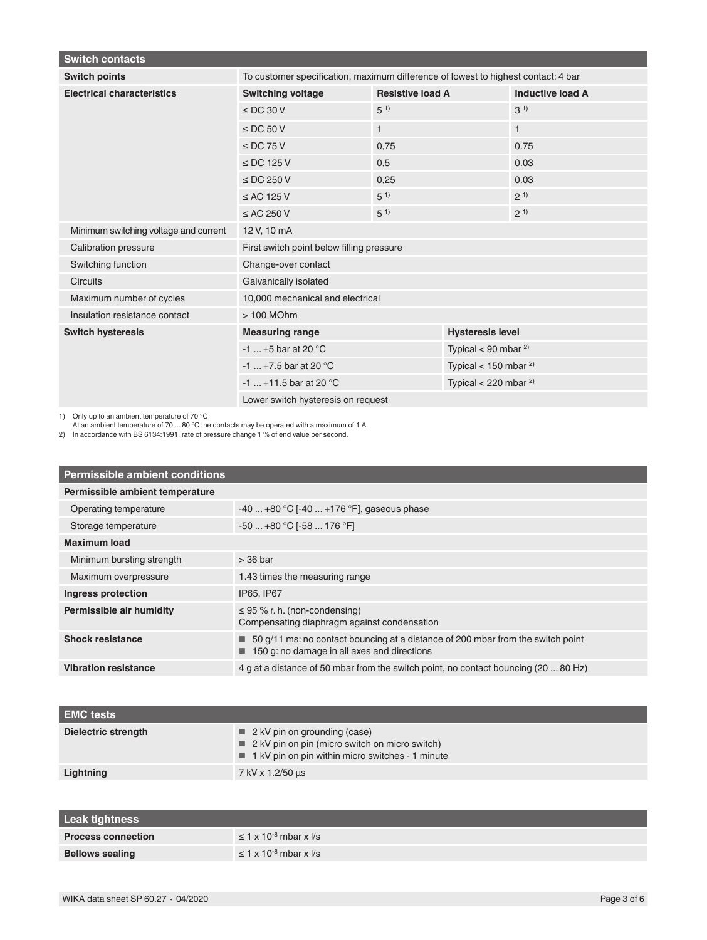| <b>Switch contacts</b>                |                                                                                   |                         |                              |                         |
|---------------------------------------|-----------------------------------------------------------------------------------|-------------------------|------------------------------|-------------------------|
| <b>Switch points</b>                  | To customer specification, maximum difference of lowest to highest contact: 4 bar |                         |                              |                         |
| <b>Electrical characteristics</b>     | <b>Switching voltage</b>                                                          | <b>Resistive load A</b> |                              | <b>Inductive load A</b> |
|                                       | $\le$ DC 30 V                                                                     | $5^{1}$                 |                              | (31)                    |
|                                       | $\le$ DC 50 V                                                                     | $\mathbf{1}$            |                              | $\mathbf{1}$            |
|                                       | $\le$ DC 75 V                                                                     | 0,75                    |                              | 0.75                    |
|                                       | $\le$ DC 125 V                                                                    | 0.5                     |                              | 0.03                    |
|                                       | $\le$ DC 250 V                                                                    | 0,25                    |                              | 0.03                    |
|                                       | $\leq$ AC 125 V                                                                   | $5^{1}$                 |                              | 2 <sup>1</sup>          |
|                                       | $\leq$ AC 250 V                                                                   | $5^{1}$                 |                              | $2^{1}$                 |
| Minimum switching voltage and current | 12 V, 10 mA                                                                       |                         |                              |                         |
| <b>Calibration pressure</b>           | First switch point below filling pressure                                         |                         |                              |                         |
| Switching function                    | Change-over contact                                                               |                         |                              |                         |
| <b>Circuits</b>                       | Galvanically isolated                                                             |                         |                              |                         |
| Maximum number of cycles              | 10,000 mechanical and electrical                                                  |                         |                              |                         |
| Insulation resistance contact         | > 100 MOhm                                                                        |                         |                              |                         |
| <b>Switch hysteresis</b>              | <b>Measuring range</b>                                                            |                         | <b>Hysteresis level</b>      |                         |
|                                       | $-1$ +5 bar at 20 °C                                                              |                         | Typical < 90 mbar $^{2}$ )   |                         |
|                                       | $-1$ +7.5 bar at 20 °C                                                            |                         | Typical < $150$ mbar $^{2)}$ |                         |
|                                       | $-1$ +11.5 bar at 20 °C                                                           |                         | Typical < 220 mbar $^{2)}$   |                         |
|                                       | Lower switch hysteresis on request                                                |                         |                              |                         |

1) Only up to an ambient temperature of 70 °C At an ambient temperature of 70 ... 80 °C the contacts may be operated with a maximum of 1 A.

2) In accordance with BS 6134:1991, rate of pressure change 1 % of end value per second.

| <b>Permissible ambient conditions</b> |                                                                                                                                |  |
|---------------------------------------|--------------------------------------------------------------------------------------------------------------------------------|--|
| Permissible ambient temperature       |                                                                                                                                |  |
| Operating temperature                 | $-40+80$ °C [ $-40+176$ °F], gaseous phase                                                                                     |  |
| Storage temperature                   | $-50+80$ °C [ $-58176$ °F]                                                                                                     |  |
| <b>Maximum load</b>                   |                                                                                                                                |  |
| Minimum bursting strength             | $>$ 36 bar                                                                                                                     |  |
| Maximum overpressure                  | 1.43 times the measuring range                                                                                                 |  |
| Ingress protection                    | IP65, IP67                                                                                                                     |  |
| Permissible air humidity              | $\leq$ 95 % r. h. (non-condensing)<br>Compensating diaphragm against condensation                                              |  |
| <b>Shock resistance</b>               | 50 g/11 ms: no contact bouncing at a distance of 200 mbar from the switch point<br>150 g: no damage in all axes and directions |  |
| <b>Vibration resistance</b>           | 4 g at a distance of 50 mbar from the switch point, no contact bouncing (20  80 Hz)                                            |  |

| <b>EMC tests</b>    |                                                                                                                                                                  |
|---------------------|------------------------------------------------------------------------------------------------------------------------------------------------------------------|
| Dielectric strength | $\blacksquare$ 2 kV pin on grounding (case)<br>$\blacksquare$ 2 kV pin on pin (micro switch on micro switch)<br>1 kV pin on pin within micro switches - 1 minute |
| Lightning           | 7 kV x 1.2/50 us                                                                                                                                                 |

| <b>Leak tightness</b>     |                                               |
|---------------------------|-----------------------------------------------|
| <b>Process connection</b> | $\leq$ 1 x 10 <sup>-8</sup> mbar x $\sqrt{s}$ |
| <b>Bellows sealing</b>    | $\leq$ 1 x 10 <sup>-8</sup> mbar x $\sqrt{s}$ |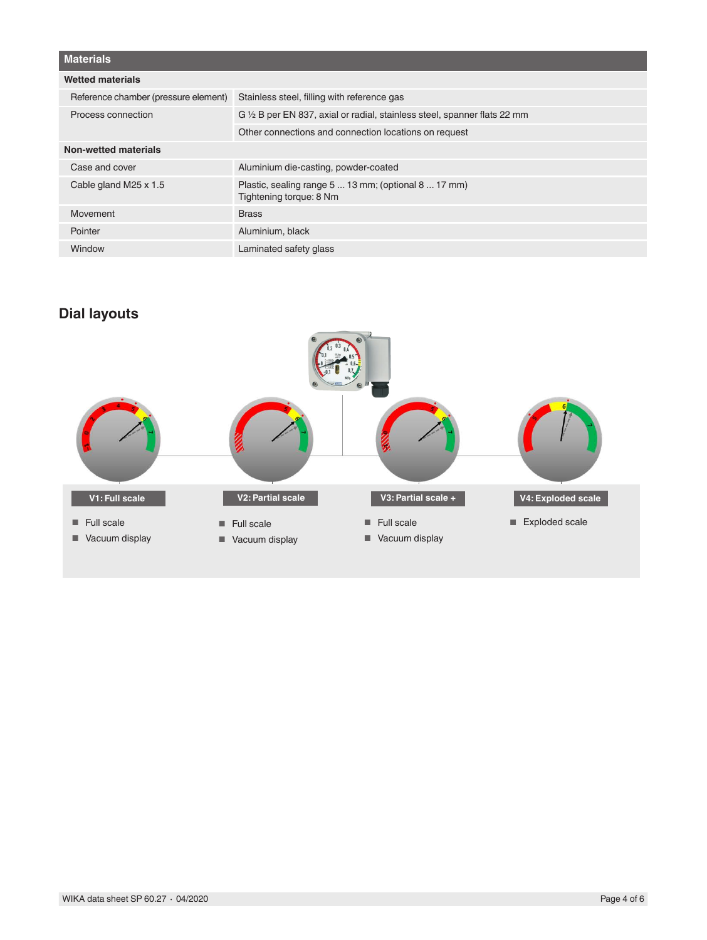| <b>Materials</b>                     |                                                                                 |
|--------------------------------------|---------------------------------------------------------------------------------|
| <b>Wetted materials</b>              |                                                                                 |
| Reference chamber (pressure element) | Stainless steel, filling with reference gas                                     |
| Process connection                   | G 1/2 B per EN 837, axial or radial, stainless steel, spanner flats 22 mm       |
|                                      | Other connections and connection locations on request                           |
| Non-wetted materials                 |                                                                                 |
| Case and cover                       | Aluminium die-casting, powder-coated                                            |
| Cable gland M25 x 1.5                | Plastic, sealing range 5  13 mm; (optional 8  17 mm)<br>Tightening torque: 8 Nm |
| Movement                             | <b>Brass</b>                                                                    |
| Pointer                              | Aluminium, black                                                                |
| Window                               | Laminated safety glass                                                          |

# **Dial layouts**

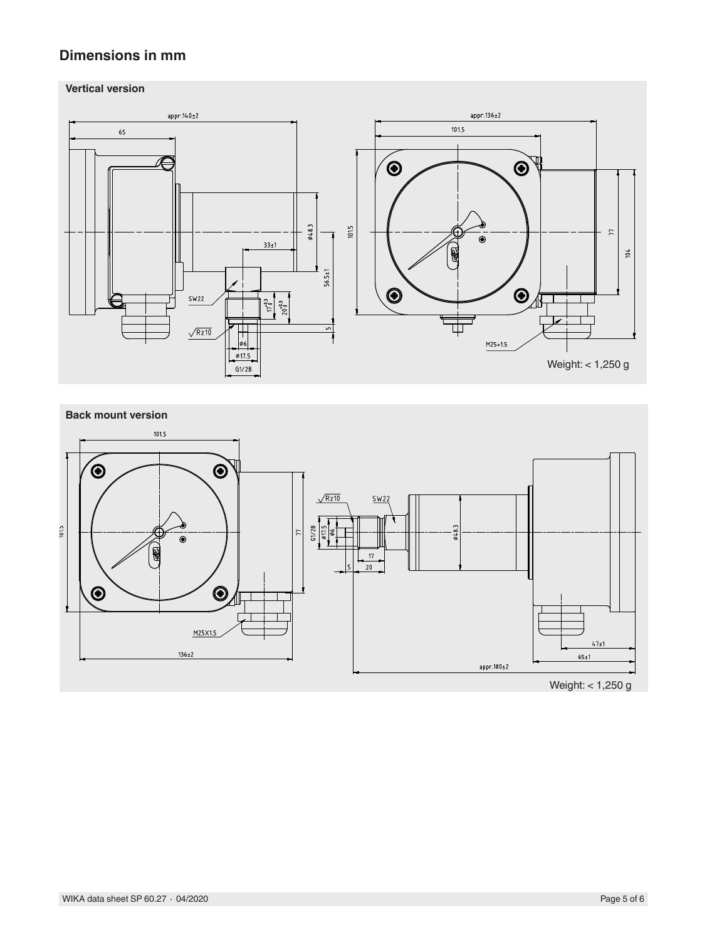## **Dimensions in mm**



## **Back mount version**